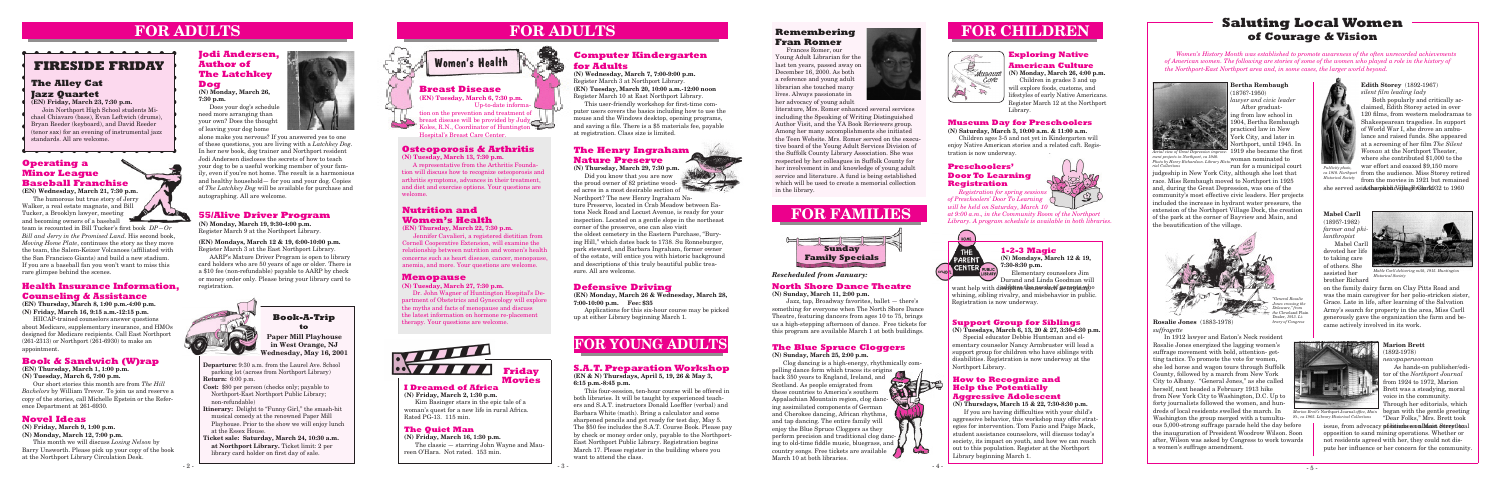**Departure:** 9:30 a.m. from the Laurel Ave. School parking lot (across from Northport Library) **Return:** 6:00 p.m.

**Cost:** \$80 per person (checks only; payable to Northport-East Northport Public Library; non-refundable)

**Itinerary:** Delight to "Funny Girl," the smash-hit musical comedy at the renowned Paper Mill Playhouse. Prior to the show we will enjoy lunch at the Essex House.

**Ticket sale: Saturday, March 24, 10:30 a.m. at Northport Library.** Ticket limit: 2 per library card holder on first day of sale.

### **Book-A-Trip to**

### **Defensive Driving**

**(EN) Monday, March 26 & Wednesday, March 28, 7:00-10:00 p.m. Fee: \$35** 

Applications for this six-hour course may be picked up at either Library beginning March 1.

### **Book & Sandwich (W)rap**

**(EN) Thursday, March 1, 1:00 p.m. (N) Tuesday, March 6, 7:00 p.m.**

Our short stories this month are from *The Hill Bachelors* by William Trevor. To join us and reserve a copy of the stories, call Michelle Epstein or the Reference Department at 261-6930.

**(N) Monday, March 19, 9:30-4:00 p.m.** Register March 9 at the Northport Library.

**(EN) Mondays, March 12 & 19, 6:00-10:00 p.m.** Register March 3 at the East Northport Library.

AARP's Mature Driver Program is open to library card holders who are 50 years of age or older. There is a \$10 fee (non-refundable) payable to AARP by check or money order only. Please bring your library card to registration.



# **FOR CHILDREN**



**Paper Mill Playhouse in West Orange, NJ Wednesday, May 16, 2001**

# **FOR YOUNG ADULTS**

# **FIRESIDE FRIDAY**

<u> a a a a a a a a a a a </u>

### **The Alley Cat Jazz Quartet**

**(EN) Friday, March 23, 7:30 p.m.**

Join Northport High School students Michael Chiavaro (bass), Evan Leftwich (drums), Bryan Reeder (keyboard), and David Reeder (tenor sax) for an evening of instrumental jazz standards. All are welcome.

<del>. . . . . . . . . . . . .</del> .

# **FOR ADULTS**

### **I Dreamed of Africa**

**(N) Friday, March 2, 1:30 p.m.** Kim Basinger stars in the epic tale of a woman's quest for a new life in rural Africa. Rated PG-13. 115 min.

### **Friday Movies**

### **The Quiet Man**

**(N) Friday, March 16, 1:30 p.m.** The classic — starring John Wayne and Maureen O'Hara. Not rated. 153 min.

### **Operating a Minor League Baseball Franchise**

want help with disclipline the unes such as arguing, o whining, sibling rivalry, and misbehavior in public. Registration is now underway.

**(EN) Wednesday, March 21, 7:30 p.m.** The humorous but true story of Jerry Walker, a real estate magnate, and Bill Tucker, a Brooklyn lawyer, meeting and becoming owners of a baseball

team is recounted in Bill Tucker's first book *DP—Or Bill and Jerry in the Promised Land*. His second book, *Moving Home Plate*, continues the story as they move the team, the Salem-Keizer Volcanoes (affiliated with the San Francisco Giants) and build a new stadium. If you are a baseball fan you won't want to miss this rare glimpse behind the scenes.

### **Support Group for Siblings**

**(N) Tuesdays, March 6, 13, 20 & 27, 3:30-4:30 p.m.** Special educator Debbie Huntsman and elementary counselor Nancy Armbruster will lead a

support group for children who have siblings with disabilities. Registration is now underway at the Northport Library.

### **1-2-3 Magic**

**(N) Mondays, March 12 & 19, 7:30-8:30 p.m.**

Elementary counselors Jim Durand and Linda Goodman will

### **Novel Ideas**

**(N) Friday, March 9, 1:00 p.m.**

**(N) Monday, March 12, 7:00 p.m.**

This month we will discuss *Losing Nelson* by Barry Unsworth. Please pick up your copy of the book at the Northport Library Circulation Desk.

### **Exploring Native American Culture**

**(N) Monday, March 26, 4:00 p.m.** Children in grades 3 and up will explore foods, customs, and lifestyles of early Native Americans. Register March 12 at the Northport Library.



### **The Blue Spruce Cloggers**

**(N) Sunday, March 25, 2:00 p.m.**

Clog dancing is a high-energy, rhythmically compelling dance form which traces its origins back 350 years to England, Ireland, and Scotland. As people emigrated from these countries to America's southern Appalachian Mountain region, clog dancmust t ing assimilated components of German and Cherokee dancing, African rhythms, and tap dancing. The entire family will enjoy the Blue Spruce Cloggers as they perform precision and traditional clog dancing to old-time fiddle music, bluegrass, and country songs. Free tickets are available March 10 at both libraries.

### **How to Recognize and Help the Potentially Aggressive Adolescent**

**(N) Thursdays, March 15 & 22, 7:30-8:30 p.m.**

 If you are having difficulties with your child's aggressive behavior, this workshop may offer strategies for intervention. Tom Fazio and Paige Mack, student assistance counselors, will discuss today's society, its impact on youth, and how we can reach out to this population. Register at the Northport Library beginning March 1.

### **Osteoporosis & Arthritis**

**(N) Tuesday, March 13, 7:30 p.m.**

A representative from the Arthritis Foundation will discuss how to recognize osteoporosis and arthritis symptoms, advances in their treatment, and diet and exercise options. Your questions are welcome.

### **Nutrition and Women's Health**

### **(EN) Thursday, March 22, 7:30 p.m.**

from the audience. Miss Storey retired *ca 1910. Northport Historical Society* from the movies in 1921 but remained

she served asi**Asharpkelid Gilag ErGlerk**932 to 1960

Jennifer Cavalieri, a registered dietitian from Cornell Cooperative Extension, will examine the relationship between nutrition and women's health concerns such as heart disease, cancer, menopause, anemia, and more. Your questions are welcome.

### **Menopause**

**(N) Tuesday, March 27, 7:30 p.m.**

Dr. John Wagner of Huntington Hospital's Department of Obstetrics and Gynecology will explore the myths and facts of menopause and discuss the latest information on hormone re-placement therapy. Your questions are welcome.



### **Computer Kindergarten for Adults**

**(N) Wednesday, March 7, 7:00-9:00 p.m.** Register March 3 at Northport Library. **(EN) Tuesday, March 20, 10:00 a.m.-12:00 noon** Register March 10 at East Northport Library.

> issue, from advocacy position to a Main Street local opposition to sand mining operations. Whether or not residents agreed with her, they could not dispute her influence or her concern for the community.

 This user-friendly workshop for first-time computer users covers the basics including how to use the mouse and the Windows desktop, opening programs, and saving a file. There is a \$5 materials fee, payable at registration. Class size is limited.

### **Jodi Andersen, Author of The Latchkey Dog**

**(N) Monday, March 26, 7:30 p.m.**

Does your dog's schedule need more arranging than your own? Does the thought of leaving your dog home



alone make you nervous? If you answered yes to one of these questions, you are living with a *Latchkey Dog*. In her new book, dog trainer and Northport resident Jodi Andersen discloses the secrets of how to teach your dog to be a useful working member of your family, even if you're not home. The result is a harmonious and healthy household— for you and your dog. Copies of *The Latchkey Dog* will be available for purchase and autographing. All are welcome.

### **Remembering Fran Romer**

Frances Romer, our Young Adult Librarian for the last ten years, passed away on December 16, 2000. As both a reference and young adult librarian she touched many lives. Always passionate in her advocacy of young adult



**55/Alive Driver Program Mutrition and the New Alixary Alixary Street Associated and Locust Avenue, is ready for your <b>FOR FAMILIES (N) Thursday, March 29, 7:30 p.m.** Did you know that *you* are now the proud owner of 82 pristine wooded acres in a most desirable section of Northport? The new Henry Ingraham Nature Preserve, located in Crab Meadow between Eatons Neck Road and Locust Avenue, is ready for your inspection. Located on a gentle slope in the northeast corner of the preserve, one can also visit the oldest cemetery in the Eastern Purchase, "Burying Hill," which dates back to 1738. Su Ronneburger, park steward, and Barbara Ingraham, former owner of the estate, will entice you with historic background and descriptions of this truly beautiful public treasure. All are welcome.

### **Breast Disease**

**(EN) Tuesday, March 6, 7:30 p.m.** Up-to-date information on the prevention and treatment of breast disease will be provided by Judy Koles, R.N., Coordinator of Huntington Hospital's Breast Care Center.



# **FOR ADULTS**



### **Preschoolers' Door To Learning Registration**



*Registration for spring sessions of Preschoolers' Door To Learning will be held on Saturday, March 10* 

*at 9:00 a.m., in the Community Room of the Northport Library. A program schedule is available in both libraries.*



#### literature, Mrs. Romer enhanced several services including the Speaking of Writing Distinguished Author Visit, and the YA Book Reviewers group. Among her many accomplishments she initiated the Teen Website. Mrs. Romer served on the executive board of the Young Adult Services Division of the Suffolk County Library Association. She was respected by her colleagues in Suffolk County for her involvement in and knowledge of young adult service and literature. A fund is being established which will be used to create a memorial collection in the library.

### **North Shore Dance Theatre**

**(N) Sunday, March 11, 2:00 p.m.** Jazz, tap, Broadway favorites, ballet — there's something for everyone when The North Shore Dance Theatre, featuring dancers from ages 10 to 75, brings us a high-stepping afternoon of dance. Free tickets for this program are available March 1 at both buildings.

### *Rescheduled from January:*

### **Health Insurance Information, Counseling & Assistance**

**(EN) Thursday, March 8, 1:00 p.m.-4:00 p.m. (N) Friday, March 16, 9:15 a.m.-12:15 p.m.**

HIICAP-trained counselors answer questions about Medicare, supplementary insurance, and HMOs designed for Medicare recipients. Call East Northport (261-2313) or Northport (261-6930) to make an appointment.

#### **Mabel Carll** (1895?-1982) *farmer and pi lanthropist* Mabel Carll devoted her lif to taking care of others. She assisted her brother Richard

**Marion Brett**  (1892-1978)

### *newspaperwoman*

### **Rosalie Jones** (1883-1978) *suffragette*

**Bertha Rembaugh** (1876?-1950) *lawyer and civic leader*

After graduating from law school in 1904, Bertha Rembaugh practiced law in New York City, and later in Northport, until 1945. In 1919 she became the first *Aerial view of Great Depression improve*run for a municipal court

ment projects in Northport, ca 1940.<br>Photo by Henry Richardson. Library Histo-**WOMAN NOMINATED to**  $\tau$ *ial Collection* 

**Edith Storey** (1892-1967) *silent film leading lady*

Both popularly and critically acclaimed, Edith Storey acted in over 120 films, from western melodramas to Shakespearean tragedies. In support of World War I, she drove an ambulance and raised funds. She appeared at a screening of her film *The Silent Woman* at the Northport Theater, where she contributed \$1,000 to the war effort and coaxed \$9,150 more

## **Saluting Local Women of Courage & Vision**

In 1912 lawyer and Eaton's Neck resident Rosalie Jones energized the lagging women's suffrage movement with bold, attention- getting tactics. To promote the vote for women, she led horse and wagon tours through Suffolk County, followed by a march from New York City to Albany. "General Jones," as she called herself, next headed a February 1913 hike from New York City to Washington, D.C. Up to forty journalists followed the women, and hundreds of local residents swelled the march. In Washington the group merged with a tumultuous 5,000-strong suffrage parade held the day before the inauguration of President Woodrow Wilson. Soon after, Wilson was asked by Congress to work towards a women's suffrage amendment.



As hands-on publisher/editor of the *Northport Journal*  from 1924 to 1972, Marion Brett was a steadying, moral voice in the community. Through her editorials, which *Marion Brett's Northport Journal office, Main* began with the gentle greeting "Dear Folks," Mrs. Brett took *St., ca 1965. Library Historical Collections*

*Women's History Month was established to promote awareness of the often unrecorded achievements of American women. The following are stories of some of the women who played a role in the history of the Northport-East Northport area and, in some cases, the larger world beyond.*



judgeship in New York City, although she lost that race. Miss Rembaugh moved to Northport in 1925 and, during the Great Depression, was one of the community's most effective civic leaders. Her projects included the increase in hydrant water pressure, the extension of the Northport Village Dock, the creation of the park at the corner of Bayview and Main, and the beautification of the village.

> on the family dairy farm on Clay Pitts Road and was the main caregiver for her polio-stricken sister, Grace. Late in life, after learning of the Salvation Army's search for property in the area, Miss Carll generously gave the organization the farm and became actively involved in its work.





*"General Rosalie <i>Jones crossing the Delaware," from the* Cleveland P Dealer*, 1913. Library of Congress*



*Mable Carll delivering milk, 1915. Huntington Historical Society*

*Publicity photo,* 

### **S.A.T. Preparation Workshop**

**(EN & N) Thursdays, April 5, 19, 26 & May 3, 6:15 p.m.-8:45 p.m.**

This four-session, ten-hour course will be offered in both libraries. It will be taught by experienced teachers and S.A.T. instructors Donald Loeffler (verbal) and Barbara White (math). Bring a calculator and some sharpened pencils and get ready for test day, May 5. The \$50 fee includes the S.A.T. Course Book. Please pay by check or money order only, payable to the Northport-East Northport Public Library. Registration begins March 17. Please register in the building where you want to attend the class.

### **The Henry Ingraham Nature Preserve**

### **Museum Day for Preschoolers**

**(N) Saturday, March 3, 10:00 a.m. & 11:00 a.m.**

Children ages 3-5 and not yet in Kindergarten will enjoy Native American stories and a related caft. Registration is now underway.